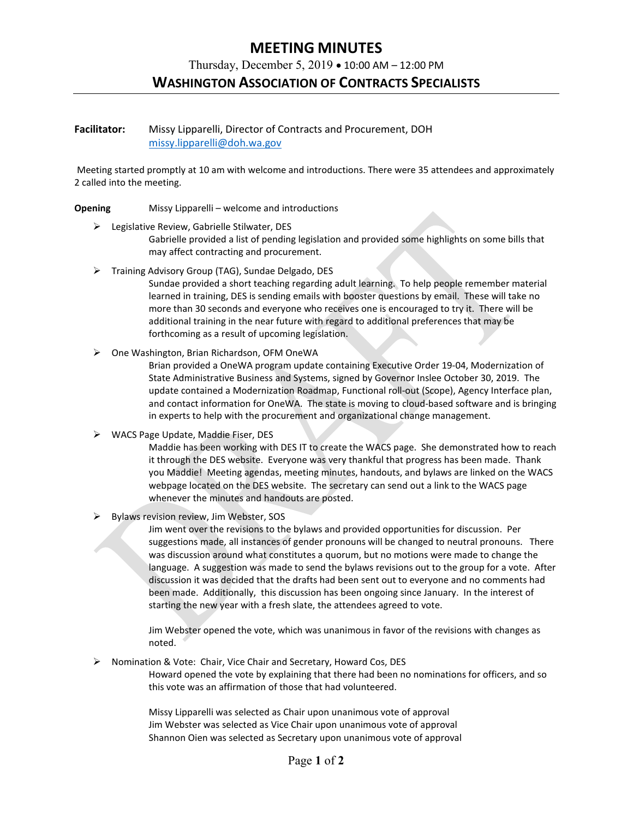# **MEETING MINUTES**

Thursday, December 5, 2019 • 10:00 AM – 12:00 PM

## **WASHINGTON ASSOCIATION OF CONTRACTS SPECIALISTS**

### **Facilitator:** Missy Lipparelli, Director of Contracts and Procurement, DOH [missy.lipparelli@doh.wa.gov](mailto:missy.lipparelli@doh.wa.gov)

Meeting started promptly at 10 am with welcome and introductions. There were 35 attendees and approximately 2 called into the meeting.

#### **Opening** Missy Lipparelli – welcome and introductions

- Legislative Review, Gabrielle Stilwater, DES
	- Gabrielle provided a list of pending legislation and provided some highlights on some bills that may affect contracting and procurement.
- Training Advisory Group (TAG), Sundae Delgado, DES

Sundae provided a short teaching regarding adult learning. To help people remember material learned in training, DES is sending emails with booster questions by email. These will take no more than 30 seconds and everyone who receives one is encouraged to try it. There will be additional training in the near future with regard to additional preferences that may be forthcoming as a result of upcoming legislation.

One Washington, Brian Richardson, OFM OneWA

Brian provided a OneWA program update containing Executive Order 19-04, Modernization of State Administrative Business and Systems, signed by Governor Inslee October 30, 2019. The update contained a Modernization Roadmap, Functional roll-out (Scope), Agency Interface plan, and contact information for OneWA. The state is moving to cloud-based software and is bringing in experts to help with the procurement and organizational change management.

 $\triangleright$  WACS Page Update, Maddie Fiser, DES

Maddie has been working with DES IT to create the WACS page. She demonstrated how to reach it through the DES website. Everyone was very thankful that progress has been made. Thank you Maddie! Meeting agendas, meeting minutes, handouts, and bylaws are linked on the WACS webpage located on the DES website. The secretary can send out a link to the WACS page whenever the minutes and handouts are posted.

 $\triangleright$  Bylaws revision review, Jim Webster, SOS

Jim went over the revisions to the bylaws and provided opportunities for discussion. Per suggestions made, all instances of gender pronouns will be changed to neutral pronouns. There was discussion around what constitutes a quorum, but no motions were made to change the language. A suggestion was made to send the bylaws revisions out to the group for a vote. After discussion it was decided that the drafts had been sent out to everyone and no comments had been made. Additionally, this discussion has been ongoing since January. In the interest of starting the new year with a fresh slate, the attendees agreed to vote.

Jim Webster opened the vote, which was unanimous in favor of the revisions with changes as noted.

 $\triangleright$  Nomination & Vote: Chair, Vice Chair and Secretary, Howard Cos, DES Howard opened the vote by explaining that there had been no nominations for officers, and so

this vote was an affirmation of those that had volunteered.

Missy Lipparelli was selected as Chair upon unanimous vote of approval Jim Webster was selected as Vice Chair upon unanimous vote of approval Shannon Oien was selected as Secretary upon unanimous vote of approval